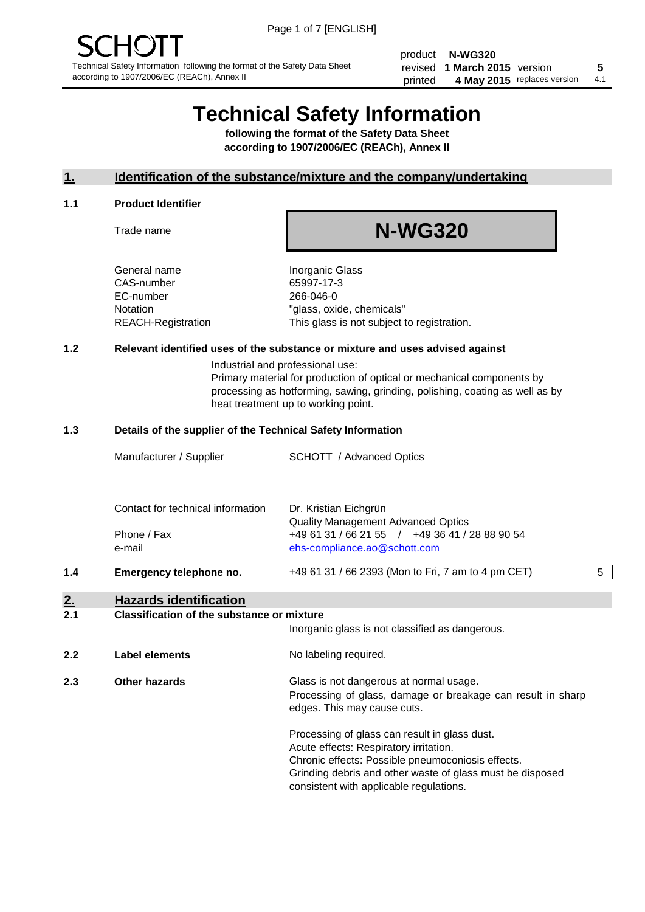product **N-WG320** revised **5 1 March 2015** version printed 4 May 2015 replaces version 4.1

# **Technical Safety Information**

**following the format of the Safety Data Sheet according to 1907/2006/EC (REACh), Annex II**

#### **1. Identification of the substance/mixture and the company/undertaking**

#### **1.1 Product Identifier**

Trade name

## **N-WG320**

General name **Inorganic Glass** CAS-number 65997-17-3 EC-number 266-046-0

Notation "glass, oxide, chemicals" REACH-Registration This glass is not subject to registration.

#### **1.2 Relevant identified uses of the substance or mixture and uses advised against**

Industrial and professional use: Primary material for production of optical or mechanical components by processing as hotforming, sawing, grinding, polishing, coating as well as by heat treatment up to working point.

#### **1.3 Details of the supplier of the Technical Safety Information**

| 1.4 | Emergency telephone no.           | +49 61 31 / 66 2393 (Mon to Fri, 7 am to 4 pm CET) | 5 |
|-----|-----------------------------------|----------------------------------------------------|---|
|     | e-mail                            | ehs-compliance.ao@schott.com                       |   |
|     | Phone / Fax                       | +49 61 31 / 66 21 55 / +49 36 41 / 28 88 90 54     |   |
|     |                                   | <b>Quality Management Advanced Optics</b>          |   |
|     | Contact for technical information | Dr. Kristian Eichgrün                              |   |
|     |                                   |                                                    |   |
|     | Manufacturer / Supplier           | <b>SCHOTT</b> / Advanced Optics                    |   |

#### **2. Hazards identification**

#### **2.1 Classification of the substance or mixture**

|     |                      | Inorganic glass is not classified as dangerous.                                                                                                                                                                                                      |
|-----|----------------------|------------------------------------------------------------------------------------------------------------------------------------------------------------------------------------------------------------------------------------------------------|
| 2.2 | Label elements       | No labeling required.                                                                                                                                                                                                                                |
| 2.3 | <b>Other hazards</b> | Glass is not dangerous at normal usage.<br>Processing of glass, damage or breakage can result in sharp<br>edges. This may cause cuts.                                                                                                                |
|     |                      | Processing of glass can result in glass dust.<br>Acute effects: Respiratory irritation.<br>Chronic effects: Possible pneumoconiosis effects.<br>Grinding debris and other waste of glass must be disposed<br>consistent with applicable regulations. |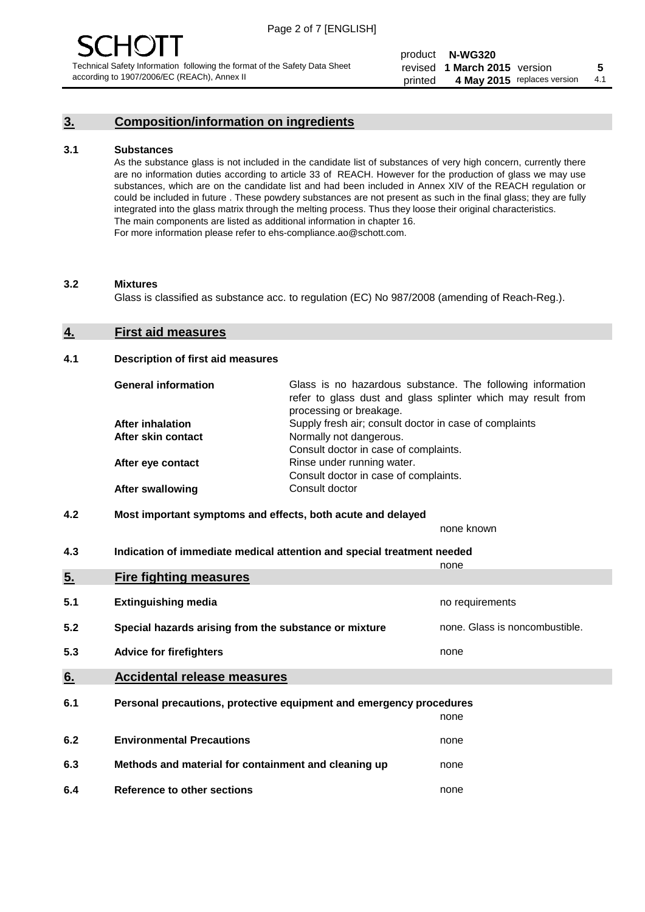## **3. Composition/information on ingredients**

#### **3.1 Substances**

As the substance glass is not included in the candidate list of substances of very high concern, currently there are no information duties according to article 33 of REACH. However for the production of glass we may use substances, which are on the candidate list and had been included in Annex XIV of the REACH regulation or could be included in future . These powdery substances are not present as such in the final glass; they are fully integrated into the glass matrix through the melting process. Thus they loose their original characteristics. The main components are listed as additional information in chapter 16. For more information please refer to ehs-compliance.ao@schott.com.

#### **3.2 Mixtures**

Glass is classified as substance acc. to regulation (EC) No 987/2008 (amending of Reach-Reg.).

#### **4. First aid measures**

#### **4.1 Description of first aid measures**

| <b>General information</b> | Glass is no hazardous substance. The following information<br>refer to glass dust and glass splinter which may result from<br>processing or breakage. |
|----------------------------|-------------------------------------------------------------------------------------------------------------------------------------------------------|
| <b>After inhalation</b>    | Supply fresh air; consult doctor in case of complaints                                                                                                |
| After skin contact         | Normally not dangerous.                                                                                                                               |
|                            | Consult doctor in case of complaints.                                                                                                                 |
| After eye contact          | Rinse under running water.                                                                                                                            |
|                            | Consult doctor in case of complaints.                                                                                                                 |
| <b>After swallowing</b>    | Consult doctor                                                                                                                                        |

#### **4.2 Most important symptoms and effects, both acute and delayed**

none known

**4.3 Indication of immediate medical attention and special treatment needed** 

|     |                                                                     | none                           |
|-----|---------------------------------------------------------------------|--------------------------------|
| 5.  | <b>Fire fighting measures</b>                                       |                                |
| 5.1 | <b>Extinguishing media</b>                                          | no requirements                |
| 5.2 | Special hazards arising from the substance or mixture               | none. Glass is noncombustible. |
| 5.3 | <b>Advice for firefighters</b>                                      | none                           |
| 6.  | <b>Accidental release measures</b>                                  |                                |
| 6.1 | Personal precautions, protective equipment and emergency procedures |                                |
|     |                                                                     | none                           |
| 6.2 | <b>Environmental Precautions</b>                                    | none                           |
| 6.3 | Methods and material for containment and cleaning up                | none                           |
| 6.4 | Reference to other sections                                         | none                           |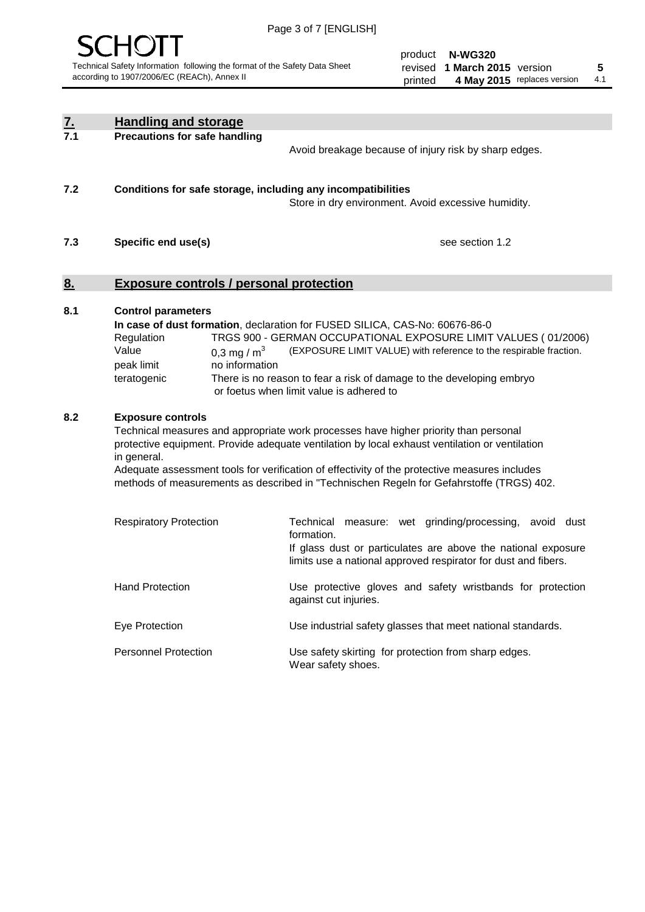

product **N-WG320** revised **5 1 March 2015** version printed 4 May 2015 replaces version 4.1

| $\underline{7}$ . | <b>Handling and storage</b>                                                                                       |                                                                                                                                                                                                                                                                                                                                                                                     |
|-------------------|-------------------------------------------------------------------------------------------------------------------|-------------------------------------------------------------------------------------------------------------------------------------------------------------------------------------------------------------------------------------------------------------------------------------------------------------------------------------------------------------------------------------|
| 7.1               | <b>Precautions for safe handling</b>                                                                              | Avoid breakage because of injury risk by sharp edges.                                                                                                                                                                                                                                                                                                                               |
| 7.2               | Conditions for safe storage, including any incompatibilities                                                      | Store in dry environment. Avoid excessive humidity.                                                                                                                                                                                                                                                                                                                                 |
| 7.3               | Specific end use(s)                                                                                               | see section 1.2                                                                                                                                                                                                                                                                                                                                                                     |
| 8.                | <b>Exposure controls / personal protection</b>                                                                    |                                                                                                                                                                                                                                                                                                                                                                                     |
| 8.1               | <b>Control parameters</b><br>Regulation<br>Value<br>0.3 mg / $m^3$<br>peak limit<br>no information<br>teratogenic | In case of dust formation, declaration for FUSED SILICA, CAS-No: 60676-86-0<br>TRGS 900 - GERMAN OCCUPATIONAL EXPOSURE LIMIT VALUES (01/2006)<br>(EXPOSURE LIMIT VALUE) with reference to the respirable fraction.<br>There is no reason to fear a risk of damage to the developing embryo<br>or foetus when limit value is adhered to                                              |
| 8.2               | <b>Exposure controls</b><br>in general.                                                                           | Technical measures and appropriate work processes have higher priority than personal<br>protective equipment. Provide adequate ventilation by local exhaust ventilation or ventilation<br>Adequate assessment tools for verification of effectivity of the protective measures includes<br>methods of measurements as described in "Technischen Regeln for Gefahrstoffe (TRGS) 402. |
|                   | <b>Respiratory Protection</b>                                                                                     | Technical<br>measure: wet grinding/processing, avoid dust<br>formation.<br>If glass dust or particulates are above the national exposure<br>limits use a national approved respirator for dust and fibers.                                                                                                                                                                          |
|                   | <b>Hand Protection</b>                                                                                            | Use protective gloves and safety wristbands for protection<br>against cut injuries.                                                                                                                                                                                                                                                                                                 |
|                   | Eye Protection                                                                                                    | Use industrial safety glasses that meet national standards.                                                                                                                                                                                                                                                                                                                         |
|                   | <b>Personnel Protection</b>                                                                                       | Use safety skirting for protection from sharp edges.<br>Wear safety shoes.                                                                                                                                                                                                                                                                                                          |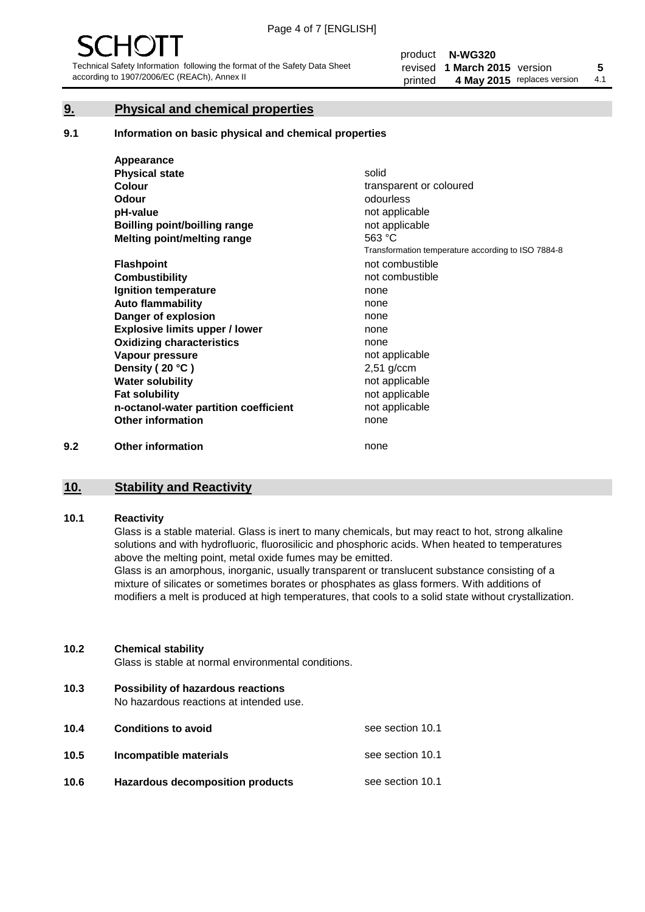#### **9. Physical and chemical properties**

#### **9.1 Information on basic physical and chemical properties**

|     | Appearance                            |                                                    |
|-----|---------------------------------------|----------------------------------------------------|
|     | <b>Physical state</b>                 | solid                                              |
|     | <b>Colour</b>                         | transparent or coloured                            |
|     | <b>Odour</b>                          | odourless                                          |
|     | pH-value                              | not applicable                                     |
|     | <b>Boilling point/boilling range</b>  | not applicable                                     |
|     | Melting point/melting range           | 563 °C                                             |
|     |                                       | Transformation temperature according to ISO 7884-8 |
|     | <b>Flashpoint</b>                     | not combustible                                    |
|     | <b>Combustibility</b>                 | not combustible                                    |
|     | Ignition temperature                  | none                                               |
|     | <b>Auto flammability</b>              | none                                               |
|     | Danger of explosion                   | none                                               |
|     | <b>Explosive limits upper / lower</b> | none                                               |
|     | <b>Oxidizing characteristics</b>      | none                                               |
|     | Vapour pressure                       | not applicable                                     |
|     | Density (20 °C)                       | $2,51$ g/ccm                                       |
|     | <b>Water solubility</b>               | not applicable                                     |
|     | <b>Fat solubility</b>                 | not applicable                                     |
|     | n-octanol-water partition coefficient | not applicable                                     |
|     | <b>Other information</b>              | none                                               |
| 9.2 | <b>Other information</b>              | none                                               |

#### **10. Stability and Reactivity**

#### **10.1 Reactivity**

Glass is a stable material. Glass is inert to many chemicals, but may react to hot, strong alkaline solutions and with hydrofluoric, fluorosilicic and phosphoric acids. When heated to temperatures above the melting point, metal oxide fumes may be emitted.

Glass is an amorphous, inorganic, usually transparent or translucent substance consisting of a mixture of silicates or sometimes borates or phosphates as glass formers. With additions of modifiers a melt is produced at high temperatures, that cools to a solid state without crystallization.

#### **10.2 Chemical stability**

Glass is stable at normal environmental conditions.

**10.3 Possibility of hazardous reactions** 

No hazardous reactions at intended use.

| 10.4 | <b>Conditions to avoid</b>              | see section 10.1 |
|------|-----------------------------------------|------------------|
| 10.5 | Incompatible materials                  | see section 10.1 |
| 10.6 | <b>Hazardous decomposition products</b> | see section 10.1 |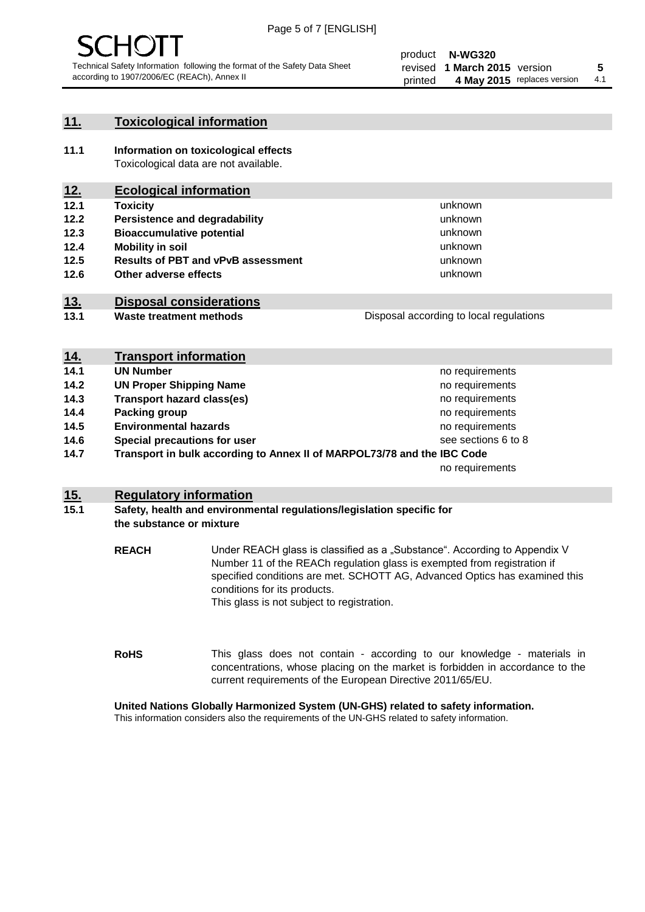

#### **11. Toxicological information**

**11.1 Information on toxicological effects** Toxicological data are not available.

## **12. Ecological information**

- **12.1 Toxicity**
- **12.2 Persistence and degradability**
- **12.3 Bioaccumulative potential**
- **12.4 Mobility in soil**
- **12.5 Results of PBT and vPvB assessment**
- **12.6 Other adverse effects**

#### **13. Disposal considerations**

**13.1 Waste treatment methods**

Disposal according to local regulations

unknown unknown unknown unknown

unknown unknown

| <u>14.</u> | <b>Transport information</b>                                            |                     |
|------------|-------------------------------------------------------------------------|---------------------|
| 14.1       | <b>UN Number</b>                                                        | no requirements     |
| 14.2       | <b>UN Proper Shipping Name</b>                                          | no requirements     |
| 14.3       | <b>Transport hazard class(es)</b>                                       | no requirements     |
| 14.4       | Packing group                                                           | no requirements     |
| 14.5       | <b>Environmental hazards</b>                                            | no requirements     |
| 14.6       | Special precautions for user                                            | see sections 6 to 8 |
| 14.7       | Transport in bulk according to Annex II of MARPOL73/78 and the IBC Code |                     |
|            |                                                                         | no requirements     |

#### **15. Regulatory information**

#### **15.1 Safety, health and environmental regulations/legislation specific for the substance or mixture**

**REACH** Under REACH glass is classified as a "Substance". According to Appendix V Number 11 of the REACh regulation glass is exempted from registration if specified conditions are met. SCHOTT AG, Advanced Optics has examined this conditions for its products. This glass is not subject to registration.

**RoHS** This glass does not contain - according to our knowledge - materials in concentrations, whose placing on the market is forbidden in accordance to the current requirements of the European Directive 2011/65/EU.

#### **United Nations Globally Harmonized System (UN-GHS) related to safety information.**

This information considers also the requirements of the UN-GHS related to safety information.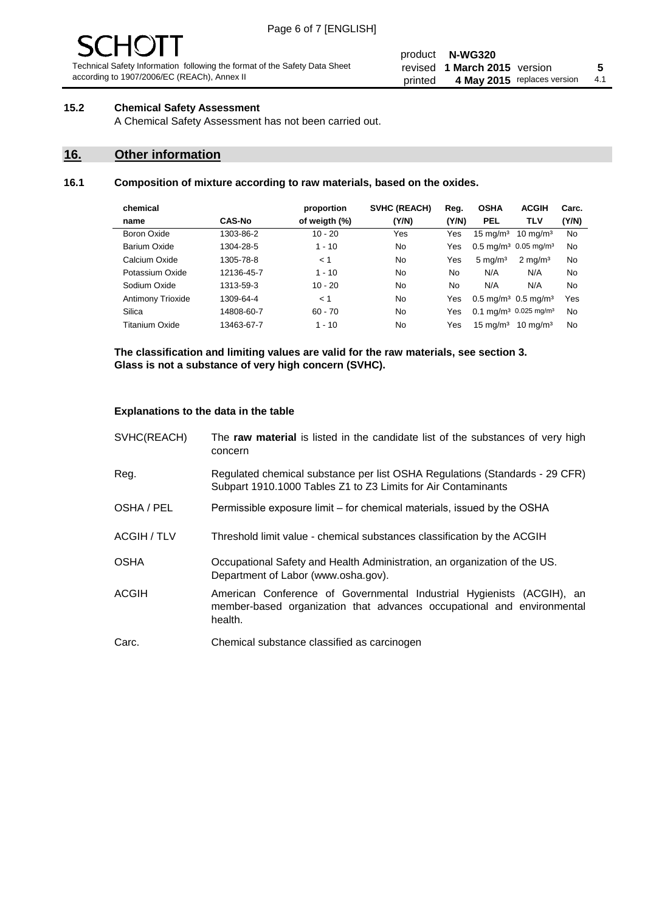# $\mathbf{H}$

Technical Safety Information following the format of the Safety Data Sheet according to 1907/2006/EC (REACh), Annex II

#### product **N-WG320** revised **5 1 March 2015** version printed 4 May 2015 replaces version 4.1

#### **15.2 Chemical Safety Assessment**

A Chemical Safety Assessment has not been carried out.

#### **16. Other information**

#### **16.1 Composition of mixture according to raw materials, based on the oxides.**

| chemical          |               | proportion    | <b>SVHC (REACH)</b> | Reg.  | <b>OSHA</b>                                   | <b>ACGIH</b>        | Carc. |
|-------------------|---------------|---------------|---------------------|-------|-----------------------------------------------|---------------------|-------|
| name              | <b>CAS-No</b> | of weigth (%) | (Y/N)               | (Y/N) | <b>PEL</b>                                    | <b>TLV</b>          | (Y/N) |
| Boron Oxide       | 1303-86-2     | $10 - 20$     | Yes                 | Yes   | $15 \text{ mg/m}^3$                           | $10 \text{ mg/m}^3$ | No    |
| Barium Oxide      | 1304-28-5     | $1 - 10$      | No                  | Yes   | $0.5 \text{ mg/m}^3$ 0.05 mg/m <sup>3</sup>   |                     | No    |
| Calcium Oxide     | 1305-78-8     | < 1           | No                  | Yes   | $5 \text{ mg/m}^3$                            | $2 \text{ mg/m}^3$  | No    |
| Potassium Oxide   | 12136-45-7    | $1 - 10$      | No                  | No    | N/A                                           | N/A                 | No    |
| Sodium Oxide      | 1313-59-3     | $10 - 20$     | No                  | No    | N/A                                           | N/A                 | No    |
| Antimony Trioxide | 1309-64-4     | < 1           | No                  | Yes   | $0.5 \,\mathrm{mq/m^3}$ 0.5 mg/m <sup>3</sup> |                     | Yes   |
| Silica            | 14808-60-7    | $60 - 70$     | No                  | Yes   | 0.1 mg/m <sup>3</sup> 0.025 mg/m <sup>3</sup> |                     | No    |
| Titanium Oxide    | 13463-67-7    | $1 - 10$      | No                  | Yes   | $15 \text{ mg/m}^3$                           | $10 \text{ ma/m}^3$ | No    |
|                   |               |               |                     |       |                                               |                     |       |

**The classification and limiting values are valid for the raw materials, see section 3. Glass is not a substance of very high concern (SVHC).**

#### **Explanations to the data in the table**

| SVHC(REACH)        | The raw material is listed in the candidate list of the substances of very high<br>concern                                                                 |
|--------------------|------------------------------------------------------------------------------------------------------------------------------------------------------------|
| Reg.               | Regulated chemical substance per list OSHA Regulations (Standards - 29 CFR)<br>Subpart 1910.1000 Tables Z1 to Z3 Limits for Air Contaminants               |
| OSHA / PEL         | Permissible exposure limit – for chemical materials, issued by the OSHA                                                                                    |
| <b>ACGIH / TLV</b> | Threshold limit value - chemical substances classification by the ACGIH                                                                                    |
| <b>OSHA</b>        | Occupational Safety and Health Administration, an organization of the US.<br>Department of Labor (www.osha.gov).                                           |
| <b>ACGIH</b>       | American Conference of Governmental Industrial Hygienists (ACGIH), an<br>member-based organization that advances occupational and environmental<br>health. |
| Carc.              | Chemical substance classified as carcinogen                                                                                                                |